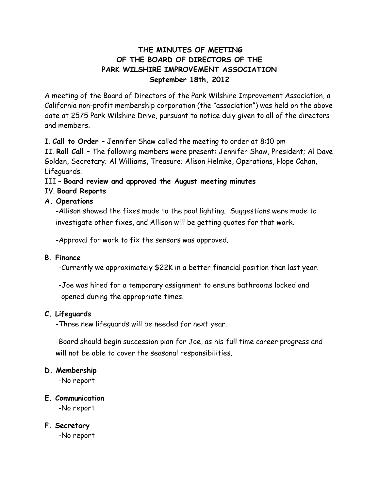# **THE MINUTES OF MEETING OF THE BOARD OF DIRECTORS OF THE PARK WILSHIRE IMPROVEMENT ASSOCIATION September 18th, 2012**

A meeting of the Board of Directors of the Park Wilshire Improvement Association, a California non-profit membership corporation (the "association") was held on the above date at 2575 Park Wilshire Drive, pursuant to notice duly given to all of the directors and members.

I. **Call to Order** – Jennifer Shaw called the meeting to order at 8:10 pm

II. **Roll Call** – The following members were present: Jennifer Shaw, President; Al Dave Golden, Secretary; Al Williams, Treasure; Alison Helmke, Operations, Hope Cahan, Lifeguards.

### III – **Board review and approved the August meeting minutes**

#### IV. **Board Reports**

### **A. Operations**

-Allison showed the fixes made to the pool lighting. Suggestions were made to investigate other fixes, and Allison will be getting quotes for that work.

-Approval for work to fix the sensors was approved.

#### **B. Finance**

-Currently we approximately \$22K in a better financial position than last year.

-Joe was hired for a temporary assignment to ensure bathrooms locked and opened during the appropriate times.

# **C. Lifeguards**

-Three new lifeguards will be needed for next year.

-Board should begin succession plan for Joe, as his full time career progress and will not be able to cover the seasonal responsibilities.

#### **D. Membership**

-No report

# **E. Communication**

-No report

# **F. Secretary**

-No report